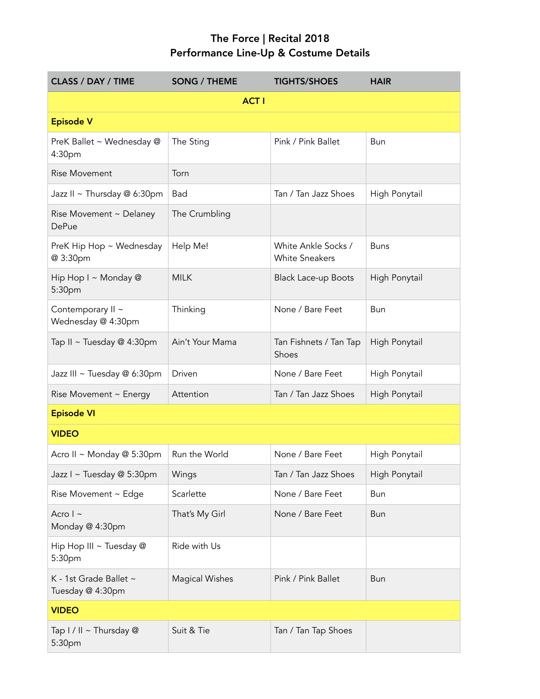## The Force | Recital 2018 Performance Line-Up & Costume Details

| <b>CLASS / DAY / TIME</b>                       | <b>SONG / THEME</b> | <b>TIGHTS/SHOES</b>                          | <b>HAIR</b>   |  |  |
|-------------------------------------------------|---------------------|----------------------------------------------|---------------|--|--|
| <b>ACT I</b>                                    |                     |                                              |               |  |  |
| <b>Episode V</b>                                |                     |                                              |               |  |  |
| PreK Ballet ~ Wednesday @<br>4:30 <sub>pm</sub> | The Sting           | Pink / Pink Ballet                           | Bun           |  |  |
| <b>Rise Movement</b>                            | Torn                |                                              |               |  |  |
| Jazz II ~ Thursday @ 6:30pm                     | Bad                 | Tan / Tan Jazz Shoes                         | High Ponytail |  |  |
| Rise Movement ~ Delaney<br><b>DePue</b>         | The Crumbling       |                                              |               |  |  |
| PreK Hip Hop ~ Wednesday<br>@ 3:30pm            | Help Me!            | White Ankle Socks /<br><b>White Sneakers</b> | <b>Buns</b>   |  |  |
| Hip Hop I ~ Monday @<br>5:30pm                  | <b>MILK</b>         | <b>Black Lace-up Boots</b>                   | High Ponytail |  |  |
| Contemporary II ~<br>Wednesday @ 4:30pm         | Thinking            | None / Bare Feet                             | Bun           |  |  |
| Tap II ~ Tuesday @ 4:30pm                       | Ain't Your Mama     | Tan Fishnets / Tan Tap<br>Shoes              | High Ponytail |  |  |
| Jazz III ~ Tuesday @ 6:30pm                     | Driven              | None / Bare Feet                             | High Ponytail |  |  |
| Rise Movement ~ Energy                          | Attention           | Tan / Tan Jazz Shoes                         | High Ponytail |  |  |
| <b>Episode VI</b>                               |                     |                                              |               |  |  |
| <b>VIDEO</b>                                    |                     |                                              |               |  |  |
| Acro II ~ Monday @ 5:30pm                       | Run the World       | None / Bare Feet                             | High Ponytail |  |  |
| Jazz I ~ Tuesday @ 5:30pm                       | Wings               | Tan / Tan Jazz Shoes                         | High Ponytail |  |  |
| Rise Movement ~ Edge                            | Scarlette           | None / Bare Feet                             | Bun           |  |  |
| Acro $\vert \sim$<br>Monday @ 4:30pm            | That's My Girl      | None / Bare Feet                             | Bun           |  |  |
| Hip Hop III ~ Tuesday @<br>5:30pm               | Ride with Us        |                                              |               |  |  |
| K - 1st Grade Ballet ~<br>Tuesday @ 4:30pm      | Magical Wishes      | Pink / Pink Ballet                           | Bun           |  |  |
| <b>VIDEO</b>                                    |                     |                                              |               |  |  |
| Tap I / II ~ Thursday @<br>5:30pm               | Suit & Tie          | Tan / Tan Tap Shoes                          |               |  |  |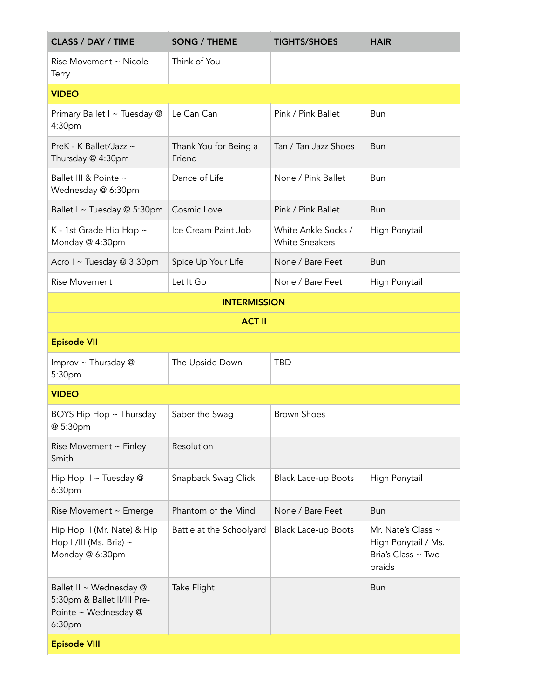| <b>CLASS / DAY / TIME</b>                                                                | <b>SONG / THEME</b>             | <b>TIGHTS/SHOES</b>                          | <b>HAIR</b>                                                               |
|------------------------------------------------------------------------------------------|---------------------------------|----------------------------------------------|---------------------------------------------------------------------------|
| Rise Movement ~ Nicole<br>Terry                                                          | Think of You                    |                                              |                                                                           |
| <b>VIDEO</b>                                                                             |                                 |                                              |                                                                           |
| Primary Ballet I ~ Tuesday @<br>4:30pm                                                   | Le Can Can                      | Pink / Pink Ballet                           | Bun                                                                       |
| PreK - K Ballet/Jazz ~<br>Thursday @ 4:30pm                                              | Thank You for Being a<br>Friend | Tan / Tan Jazz Shoes                         | <b>Bun</b>                                                                |
| Ballet III & Pointe ~<br>Wednesday @ 6:30pm                                              | Dance of Life                   | None / Pink Ballet                           | Bun                                                                       |
| Ballet I ~ Tuesday @ 5:30pm                                                              | Cosmic Love                     | Pink / Pink Ballet                           | <b>Bun</b>                                                                |
| K - 1st Grade Hip Hop ~<br>Monday @ 4:30pm                                               | Ice Cream Paint Job             | White Ankle Socks /<br><b>White Sneakers</b> | High Ponytail                                                             |
| Acro I ~ Tuesday @ 3:30pm                                                                | Spice Up Your Life              | None / Bare Feet                             | <b>Bun</b>                                                                |
| <b>Rise Movement</b>                                                                     | Let It Go                       | None / Bare Feet                             | High Ponytail                                                             |
|                                                                                          | <b>INTERMISSION</b>             |                                              |                                                                           |
|                                                                                          | <b>ACT II</b>                   |                                              |                                                                           |
| <b>Episode VII</b>                                                                       |                                 |                                              |                                                                           |
| Improv ~ Thursday @<br>5:30pm                                                            | The Upside Down                 | <b>TBD</b>                                   |                                                                           |
| <b>VIDEO</b>                                                                             |                                 |                                              |                                                                           |
| BOYS Hip Hop ~ Thursday<br>@ 5:30pm                                                      | Saber the Swag                  | <b>Brown Shoes</b>                           |                                                                           |
| Rise Movement ~ Finley<br>Smith                                                          | Resolution                      |                                              |                                                                           |
| Hip Hop II ~ Tuesday @<br>6:30pm                                                         | Snapback Swag Click             | <b>Black Lace-up Boots</b>                   | High Ponytail                                                             |
| Rise Movement ~ Emerge                                                                   | Phantom of the Mind             | None / Bare Feet                             | <b>Bun</b>                                                                |
| Hip Hop II (Mr. Nate) & Hip<br>Hop II/III (Ms. Bria) ~<br>Monday @ 6:30pm                | Battle at the Schoolyard        | <b>Black Lace-up Boots</b>                   | Mr. Nate's Class ~<br>High Ponytail / Ms.<br>Bria's Class ~ Two<br>braids |
| Ballet II ~ Wednesday @<br>5:30pm & Ballet II/III Pre-<br>Pointe ~ Wednesday @<br>6:30pm | Take Flight                     |                                              | Bun                                                                       |
| <b>Episode VIII</b>                                                                      |                                 |                                              |                                                                           |